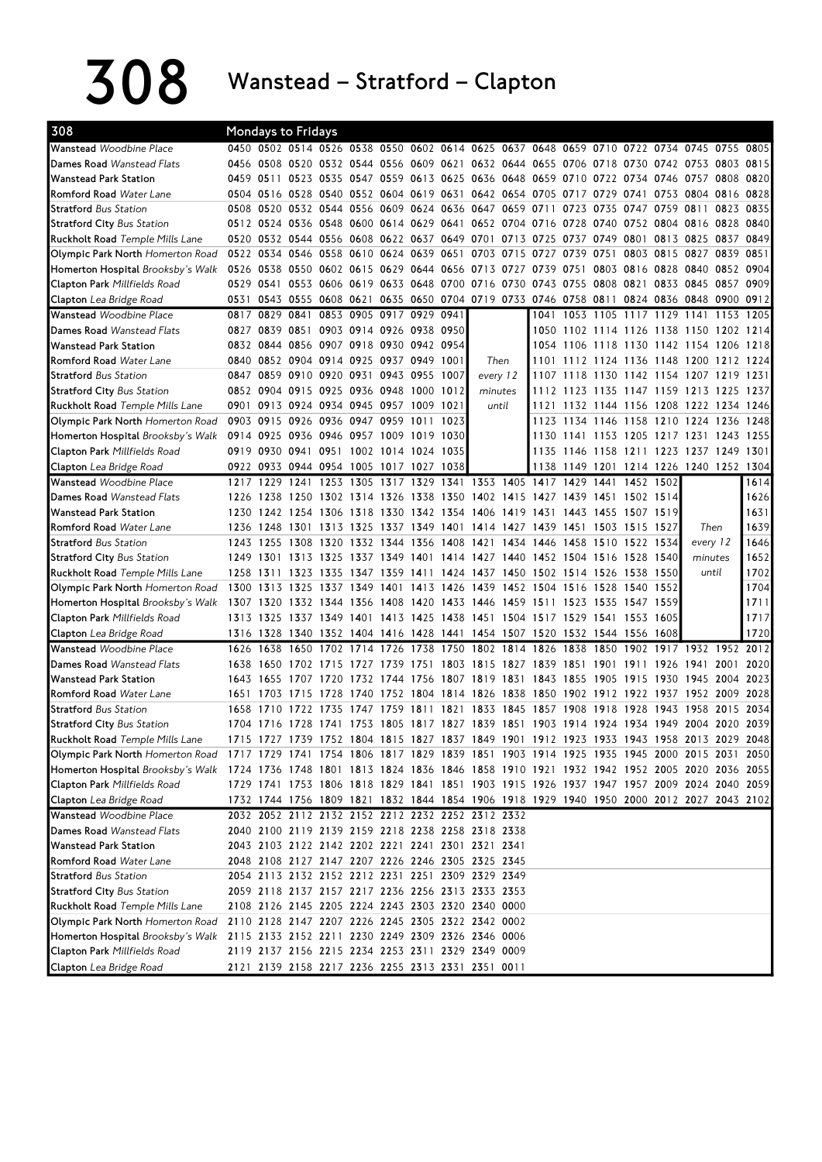308 Wanstead – Stratford – Clapton

| 308                                    | Mondays to Fridays |           |                                         |           |                          |      |                |                                                                                           |      |           |      |                     |           |                                         |      |      |
|----------------------------------------|--------------------|-----------|-----------------------------------------|-----------|--------------------------|------|----------------|-------------------------------------------------------------------------------------------|------|-----------|------|---------------------|-----------|-----------------------------------------|------|------|
| Wanstead Woodbine Place                |                    |           |                                         |           |                          |      |                | 0450 0502 0514 0526 0538 0550 0602 0614 0625 0637 0648 0659 0710 0722 0734 0745 0755 0805 |      |           |      |                     |           |                                         |      |      |
| Dames Road Wanstead Flats              |                    |           |                                         |           |                          |      |                | 0456 0508 0520 0532 0544 0556 0609 0621 0632 0644 0655 0706 0718 0730 0742 0753 0803 0815 |      |           |      |                     |           |                                         |      |      |
| <b>Wanstead Park Station</b>           | 0459 0511          |           |                                         |           |                          |      |                | 0523 0535 0547 0559 0613 0625 0636 0648 0659 0710 0722 0734 0746 0757 0808                |      |           |      |                     |           |                                         |      | 0820 |
| Romford Road Water Lane                |                    |           |                                         |           |                          |      |                | 0504 0516 0528 0540 0552 0604 0619 0631 0642 0654 0705 0717                               |      |           |      | 0729 0741           |           | 0753 0804 0816                          |      | 0828 |
| <b>Stratford</b> Bus Station           | 0508               |           |                                         |           |                          |      |                | 0520 0532 0544 0556 0609 0624 0636 0647 0659 0711 0723 0735 0747 0759 0811 0823 0835      |      |           |      |                     |           |                                         |      |      |
| <b>Stratford City Bus Station</b>      |                    |           |                                         |           |                          |      |                | 0512 0524 0536 0548 0600 0614 0629 0641 0652 0704 0716 0728                               |      |           |      |                     |           | 0740 0752 0804 0816 0828                |      | 0840 |
| <b>Ruckholt Road</b> Temple Mills Lane |                    |           |                                         |           |                          |      |                | 0520 0532 0544 0556 0608 0622 0637 0649 0701 0713 0725 0737 0749 0801 0813 0825 0837      |      |           |      |                     |           |                                         |      | 0849 |
| Olympic Park North Homerton Road       |                    |           |                                         |           |                          |      |                | 0522 0534 0546 0558 0610 0624 0639 0651 0703 0715 0727 0739                               |      |           |      | 0751                |           | 0803 0815 0827 0839                     |      | 0851 |
| Homerton Hospital Brooksby's Walk      |                    |           |                                         |           |                          |      |                | 0526 0538 0550 0602 0615 0629 0644 0656 0713 0727 0739 0751                               |      |           |      |                     |           | 0803 0816 0828 0840 0852 0904           |      |      |
| Clapton Park Millfields Road           |                    |           |                                         |           |                          |      |                | 0529 0541 0553 0606 0619 0633 0648 0700 0716 0730 0743 0755                               |      |           |      |                     |           | 0808 0821 0833 0845 0857 0909           |      |      |
| Clapton Lea Bridge Road                | 0531               |           |                                         |           |                          |      |                | 0543 0555 0608 0621 0635 0650 0704 0719 0733 0746 0758 0811 0824 0836 0848 0900 0912      |      |           |      |                     |           |                                         |      |      |
| Wanstead Woodbine Place                | 0817               | 0829 0841 |                                         |           | 0853 0905 0917 0929 0941 |      |                |                                                                                           |      |           |      |                     |           | 1041 1053 1105 1117 1129 1141 1153 1205 |      |      |
| Dames Road Wanstead Flats              |                    |           | 0827 0839 0851 0903 0914 0926 0938 0950 |           |                          |      |                |                                                                                           |      |           |      |                     |           | 1050 1102 1114 1126 1138 1150 1202 1214 |      |      |
| <b>Wanstead Park Station</b>           |                    |           | 0832 0844 0856 0907 0918 0930 0942 0954 |           |                          |      |                |                                                                                           |      |           |      |                     |           | 1054 1106 1118 1130 1142 1154 1206 1218 |      |      |
| Romford Road Water Lane                |                    |           | 0840 0852 0904 0914 0925 0937 0949 1001 |           |                          |      |                | Then                                                                                      |      |           |      |                     |           | 1101 1112 1124 1136 1148 1200 1212 1224 |      |      |
| <b>Stratford</b> Bus Station           |                    |           | 0847 0859 0910 0920 0931 0943 0955 1007 |           |                          |      |                | every 12                                                                                  |      |           |      |                     |           | 1107 1118 1130 1142 1154 1207 1219 1231 |      |      |
| <b>Stratford City Bus Station</b>      |                    |           | 0852 0904 0915 0925 0936 0948 1000 1012 |           |                          |      |                | minutes                                                                                   |      |           |      |                     |           | 1112 1123 1135 1147 1159 1213 1225 1237 |      |      |
| <b>Ruckholt Road</b> Temple Mills Lane |                    |           | 0901 0913 0924 0934 0945 0957 1009 1021 |           |                          |      |                | until                                                                                     |      |           |      |                     |           | 1121 1132 1144 1156 1208 1222 1234 1246 |      |      |
| Olympic Park North Homerton Road       |                    |           | 0903 0915 0926 0936 0947 0959 1011 1023 |           |                          |      |                |                                                                                           |      |           |      |                     |           | 1123 1134 1146 1158 1210 1224 1236      |      | 1248 |
| Homerton Hospital Brooksby's Walk      |                    |           | 0914 0925 0936 0946 0957 1009 1019 1030 |           |                          |      |                |                                                                                           |      |           |      |                     |           | 1130 1141 1153 1205 1217 1231 1243      |      | 1255 |
| <b>Clapton Park Millfields Road</b>    |                    |           | 0919 0930 0941 0951 1002 1014 1024 1035 |           |                          |      |                |                                                                                           |      |           |      |                     |           | 1135 1146 1158 1211 1223 1237 1249 1301 |      |      |
| Clapton Lea Bridge Road                |                    |           | 0922 0933 0944 0954 1005 1017 1027 1038 |           |                          |      |                |                                                                                           |      |           |      |                     |           | 1138 1149 1201 1214 1226 1240 1252 1304 |      |      |
| Wanstead Woodbine Place                |                    | 1217 1229 | 1241                                    |           |                          |      |                | 1253 1305 1317 1329 1341 1353 1405 1417 1429                                              |      |           |      | 1441                | 1452 1502 |                                         |      | 1614 |
| Dames Road Wanstead Flats              |                    |           |                                         |           |                          |      |                | 1226 1238 1250 1302 1314 1326 1338 1350 1402 1415 1427 1439 1451 1502 1514                |      |           |      |                     |           |                                         |      | 1626 |
| <b>Wanstead Park Station</b>           |                    |           |                                         |           |                          |      |                | 1230 1242 1254 1306 1318 1330 1342 1354 1406 1419 1431 1443                               |      |           |      | 1455 1507 1519      |           |                                         |      | 1631 |
| Romford Road Water Lane                |                    |           |                                         |           |                          |      |                | 1236 1248 1301 1313 1325 1337 1349 1401 1414 1427 1439 1451 1503 1515 1527                |      |           |      |                     |           | Then                                    |      | 1639 |
| <b>Stratford</b> Bus Station           |                    |           |                                         |           |                          |      |                | 1243 1255 1308 1320 1332 1344 1356 1408 1421 1434 1446 1458                               |      |           |      | 1510 1522 1534      |           | every 12                                |      | 1646 |
| <b>Stratford City Bus Station</b>      |                    |           |                                         |           |                          |      |                | 1249 1301 1313 1325 1337 1349 1401 1414 1427 1440 1452 1504 1516 1528 1540                |      |           |      |                     |           | minutes                                 |      | 1652 |
| <b>Ruckholt Road</b> Temple Mills Lane | 1258 1311          |           |                                         |           |                          |      |                | 1323 1335 1347 1359 1411 1424 1437 1450 1502 1514 1526 1538 1550                          |      |           |      |                     |           | until                                   |      | 1702 |
| Olympic Park North Homerton Road       |                    |           |                                         |           |                          |      |                | 1300 1313 1325 1337 1349 1401 1413 1426 1439 1452 1504 1516 1528 1540 1552                |      |           |      |                     |           |                                         |      | 1704 |
| Homerton Hospital Brooksby's Walk      | 1307 1320          |           |                                         |           |                          |      |                | 1332 1344 1356 1408 1420 1433 1446 1459 1511                                              |      |           |      | 1523 1535 1547 1559 |           |                                         |      | 1711 |
| <b>Clapton Park Millfields Road</b>    |                    |           |                                         |           |                          |      |                | 1313 1325 1337 1349 1401 1413 1425 1438 1451 1504 1517 1529                               |      |           |      | 1541 1553 1605      |           |                                         |      | 1717 |
| Clapton Lea Bridge Road                |                    |           |                                         |           |                          |      |                | 1316 1328 1340 1352 1404 1416 1428 1441 1454 1507 1520 1532 1544 1556 1608                |      |           |      |                     |           |                                         |      | 1720 |
| Wanstead Woodbine Place                | 1626               | 1638      | 1650                                    | 1702      |                          |      |                | 1714 1726 1738 1750 1802 1814 1826                                                        |      |           | 1838 | 1850                | 1902      | 1917 1932 1952                          |      | 2012 |
| Dames Road Wanstead Flats              | 1638               |           |                                         |           |                          |      |                | 1650 1702 1715 1727 1739 1751 1803 1815 1827 1839 1851                                    |      |           |      |                     |           | 1901 1911 1926 1941 2001                |      | 2020 |
| <b>Wanstead Park Station</b>           |                    |           | 1643 1655 1707 1720                     |           |                          |      |                | 1732 1744 1756 1807 1819 1831 1843 1855                                                   |      |           |      |                     |           | 1905 1915 1930 1945 2004 2023           |      |      |
| Romford Road Water Lane                | 1651               | 1703      | 1715 1728                               |           |                          |      |                | 1740 1752 1804 1814 1826 1838 1850 1902 1912 1922 1937 1952 2009                          |      |           |      |                     |           |                                         |      | 2028 |
| <b>Stratford</b> Bus Station           | 1658               | 1710      |                                         | 1722 1735 | 1747                     | 1759 | 1811 1821 1833 |                                                                                           | 1845 | 1857 1908 |      | 1918                | 1928 1943 | 1958                                    | 2015 | 2034 |
| <b>Stratford City Bus Station</b>      |                    |           |                                         |           |                          |      |                | 1704 1716 1728 1741 1753 1805 1817 1827 1839 1851 1903 1914 1924 1934 1949 2004 2020 2039 |      |           |      |                     |           |                                         |      |      |
| Ruckholt Road Temple Mills Lane        |                    |           |                                         |           |                          |      |                | 1715 1727 1739 1752 1804 1815 1827 1837 1849 1901 1912 1923 1933 1943 1958 2013 2029 2048 |      |           |      |                     |           |                                         |      |      |
| Olympic Park North Homerton Road       |                    |           |                                         |           |                          |      |                | 1717 1729 1741 1754 1806 1817 1829 1839 1851 1903 1914 1925 1935 1945 2000 2015 2031 2050 |      |           |      |                     |           |                                         |      |      |
| Homerton Hospital Brooksby's Walk      |                    |           |                                         |           |                          |      |                | 1724 1736 1748 1801 1813 1824 1836 1846 1858 1910 1921 1932 1942 1952 2005 2020 2036 2055 |      |           |      |                     |           |                                         |      |      |
| <b>Clapton Park Millfields Road</b>    |                    |           |                                         |           |                          |      |                | 1729 1741 1753 1806 1818 1829 1841 1851 1903 1915 1926 1937 1947 1957 2009 2024 2040 2059 |      |           |      |                     |           |                                         |      |      |
| <b>Clapton</b> Lea Bridge Road         |                    |           |                                         |           |                          |      |                | 1732 1744 1756 1809 1821 1832 1844 1854 1906 1918 1929 1940 1950 2000 2012 2027 2043 2102 |      |           |      |                     |           |                                         |      |      |
| Wanstead Woodbine Place                |                    |           |                                         |           |                          |      |                | 2032 2052 2112 2132 2152 2212 2232 2252 2312 2332                                         |      |           |      |                     |           |                                         |      |      |
| Dames Road Wanstead Flats              |                    |           |                                         |           |                          |      |                | 2040 2100 2119 2139 2159 2218 2238 2258 2318 2338                                         |      |           |      |                     |           |                                         |      |      |
| <b>Wanstead Park Station</b>           |                    |           |                                         |           |                          |      |                | 2043 2103 2122 2142 2202 2221 2241 2301 2321 2341                                         |      |           |      |                     |           |                                         |      |      |
| Romford Road Water Lane                |                    |           |                                         |           |                          |      |                | 2048 2108 2127 2147 2207 2226 2246 2305 2325 2345                                         |      |           |      |                     |           |                                         |      |      |
| <b>Stratford</b> Bus Station           |                    |           |                                         |           |                          |      |                | 2054 2113 2132 2152 2212 2231 2251 2309 2329 2349                                         |      |           |      |                     |           |                                         |      |      |
| <b>Stratford City Bus Station</b>      |                    |           |                                         |           |                          |      |                | 2059 2118 2137 2157 2217 2236 2256 2313 2333 2353                                         |      |           |      |                     |           |                                         |      |      |
| <b>Ruckholt Road Temple Mills Lane</b> |                    |           |                                         |           |                          |      |                | 2108 2126 2145 2205 2224 2243 2303 2320 2340 0000                                         |      |           |      |                     |           |                                         |      |      |
| Olympic Park North Homerton Road       |                    |           |                                         |           |                          |      |                | 2110 2128 2147 2207 2226 2245 2305 2322 2342 0002                                         |      |           |      |                     |           |                                         |      |      |
| Homerton Hospital Brooksby's Walk      |                    |           |                                         |           |                          |      |                | 2115 2133 2152 2211 2230 2249 2309 2326 2346 0006                                         |      |           |      |                     |           |                                         |      |      |
| Clapton Park Millfields Road           |                    |           |                                         |           |                          |      |                | 2119 2137 2156 2215 2234 2253 2311 2329 2349 0009                                         |      |           |      |                     |           |                                         |      |      |
| Clapton Lea Bridge Road                |                    |           |                                         |           |                          |      |                | 2121 2139 2158 2217 2236 2255 2313 2331 2351 0011                                         |      |           |      |                     |           |                                         |      |      |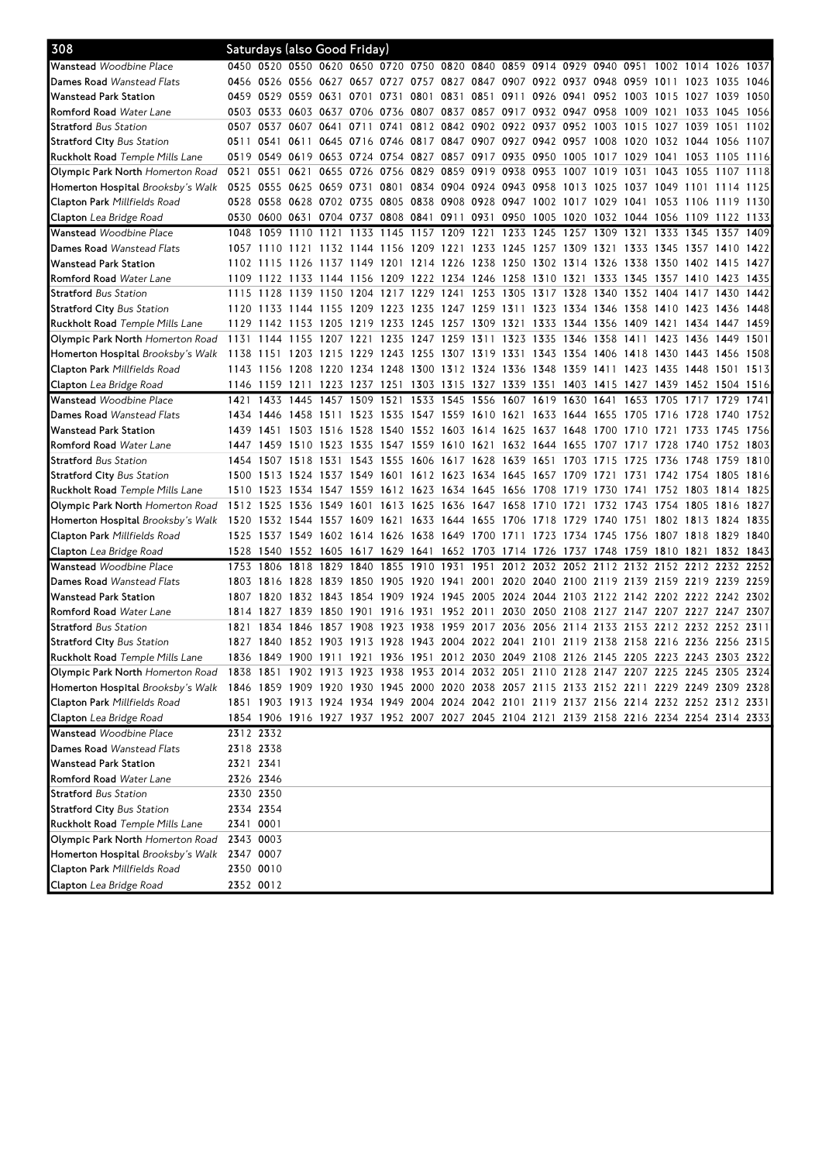| 308                                      |           |                |                |           | Saturdays (also Good Friday)                                                              |      |                |                                                             |                          |  |                                    |                |           |                          |           |      |
|------------------------------------------|-----------|----------------|----------------|-----------|-------------------------------------------------------------------------------------------|------|----------------|-------------------------------------------------------------|--------------------------|--|------------------------------------|----------------|-----------|--------------------------|-----------|------|
| Wanstead Woodbine Place                  |           |                |                |           | 0450 0520 0550 0620 0650 0720 0750 0820 0840 0859 0914 0929 0940 0951 1002 1014 1026 1037 |      |                |                                                             |                          |  |                                    |                |           |                          |           |      |
| <b>Dames Road</b> Wanstead Flats         |           |                |                |           | 0456 0526 0556 0627 0657 0727 0757 0827 0847 0907 0922 0937 0948 0959 1011 1023 1035      |      |                |                                                             |                          |  |                                    |                |           |                          |           | 1046 |
| Wanstead Park Station                    |           | 0459 0529      | 0559 0631      |           | 0701                                                                                      | 0731 |                | 0801 0831 0851 0911 0926 0941                               |                          |  | 0952 1003                          |                | 1015 1027 |                          | 1039      | 1050 |
| <b>Romford Road</b> Water Lane           |           |                |                |           | 0503 0533 0603 0637 0706 0736                                                             |      |                | 0807 0837 0857 0917 0932 0947 0958                          |                          |  |                                    | 1009           | 1021      | 1033                     | 1045      | 1056 |
| <b>Stratford</b> Bus Station             |           | 0507 0537      | 0607 0641      |           | 0711 0741                                                                                 |      |                | 0812 0842 0902 0922 0937 0952 1003 1015                     |                          |  |                                    |                |           | 1027 1039 1051           |           | 1102 |
| <b>Stratford City</b> Bus Station        |           | 0511 0541      |                |           | 0611 0645 0716 0746 0817 0847 0907 0927 0942 0957 1008 1020 1032 1044 1056 1107           |      |                |                                                             |                          |  |                                    |                |           |                          |           |      |
| <b>Ruckholt Road</b> Temple Mills Lane   |           | 0519 0549      |                |           | 0619 0653 0724 0754 0827 0857 0917 0935 0950 1005 1017 1029 1041 1053                     |      |                |                                                             |                          |  |                                    |                |           |                          | 1105 1116 |      |
| Olympic Park North Homerton Road         |           | 0521 0551      |                |           | 0621 0655 0726 0756 0829 0859 0919 0938 0953 1007 1019 1031                               |      |                |                                                             |                          |  |                                    |                | 1043 1055 |                          | 1107 1118 |      |
| Homerton Hospital <i>Brooksby's Walk</i> |           | 0525 0555      |                |           | 0625 0659 0731 0801 0834 0904 0924 0943 0958 1013 1025                                    |      |                |                                                             |                          |  |                                    |                |           | 1037 1049 1101 1114 1125 |           |      |
| <b>Clapton Park</b> Millfields Road      |           |                |                |           | 0528 0558 0628 0702 0735 0805 0838 0908 0928 0947 1002 1017 1029                          |      |                |                                                             |                          |  |                                    |                |           | 1041 1053 1106 1119 1130 |           |      |
| <b>Clapton</b> Lea Bridge Road           |           |                |                |           | 0530 0600 0631 0704 0737 0808 0841 0911 0931 0950 1005 1020 1032 1044 1056 1109 1122 1133 |      |                |                                                             |                          |  |                                    |                |           |                          |           |      |
| <b>Wanstead</b> Woodbine Place           | 1048      | 1059           | 1110           | 1121      | 1133 1145                                                                                 |      | 1157 1209 1221 |                                                             | 1233 1245 1257 1309 1321 |  |                                    |                |           | 1333 1345 1357 1409      |           |      |
| <b>Dames Road</b> Wanstead Flats         |           | 1057 1110      | 1121           |           | 1132 1144 1156 1209 1221 1233 1245 1257 1309 1321 1333 1345 1357 1410 1422                |      |                |                                                             |                          |  |                                    |                |           |                          |           |      |
| Wanstead Park Station                    |           | 1102 1115      | 1126           |           | 1137 1149 1201 1214 1226 1238 1250 1302 1314                                              |      |                |                                                             |                          |  | 1326                               |                |           | 1338 1350 1402 1415      |           | 1427 |
| <b>Romford Road</b> Water Lane           |           | 1109 1122      |                |           | 1133 1144 1156 1209 1222 1234 1246 1258 1310 1321 1333 1345                               |      |                |                                                             |                          |  |                                    |                | 1357 1410 |                          | 1423      | 1435 |
| <b>Stratford</b> Bus Station             |           | 1115 1128      |                |           | 1139 1150 1204 1217 1229 1241 1253 1305                                                   |      |                |                                                             |                          |  | 1317 1328 1340 1352 1404 1417 1430 |                |           |                          |           | 1442 |
| <b>Stratford City</b> Bus Station        |           |                |                |           | 1120 1133 1144 1155 1209 1223 1235 1247 1259 1311 1323 1334 1346 1358 1410 1423 1436 1448 |      |                |                                                             |                          |  |                                    |                |           |                          |           |      |
| <b>Ruckholt Road</b> Temple Mills Lane   |           |                |                |           | 1129 1142 1153 1205 1219 1233 1245 1257 1309 1321 1333 1344 1356 1409 1421 1434 1447 1459 |      |                |                                                             |                          |  |                                    |                |           |                          |           |      |
| Olympic Park North <i>Homerton Road</i>  |           |                |                |           | 1131 1144 1155 1207 1221 1235 1247 1259 1311 1323 1335 1346 1358 1411                     |      |                |                                                             |                          |  |                                    |                | 1423 1436 |                          | 1449 1501 |      |
| Homerton Hospital <i>Brooksby's Walk</i> | 1138 1151 |                |                |           | 1203 1215 1229 1243 1255 1307 1319 1331 1343 1354                                         |      |                |                                                             |                          |  | 1406                               | 1418 1430 1443 |           |                          | 1456 1508 |      |
| <b>Clapton Park</b> Millfields Road      |           | 1143 1156      |                |           | 1208 1220 1234 1248 1300 1312 1324 1336 1348 1359 1411 1423 1435 1448                     |      |                |                                                             |                          |  |                                    |                |           |                          | 1501      | 1513 |
| <b>Clapton</b> Lea Bridge Road           |           | 1146 1159 1211 |                |           | 1223 1237 1251                                                                            |      |                | 1303 1315 1327 1339 1351                                    |                          |  | 1403 1415 1427 1439 1452 1504 1516 |                |           |                          |           |      |
| <b>Wanstead</b> Woodbine Place           | 1421      | 1433           | 1445           | 1457      | 1509                                                                                      | 1521 |                | 1533 1545 1556 1607 1619 1630                               |                          |  | 1641                               | 1653           | 1705 1717 |                          | 1729      | 1741 |
| <b>Dames Road</b> Wanstead Flats         |           | 1434 1446      |                |           | 1458 1511 1523 1535 1547 1559 1610 1621 1633 1644 1655 1705 1716 1728 1740 1752           |      |                |                                                             |                          |  |                                    |                |           |                          |           |      |
| Wanstead Park Station                    |           |                |                |           | 1439 1451 1503 1516 1528 1540 1552 1603 1614 1625 1637 1648 1700 1710                     |      |                |                                                             |                          |  |                                    |                |           | 1721 1733 1745 1756      |           |      |
| <b>Romford Road</b> Water Lane           |           | 1447 1459      |                |           | 1510 1523 1535 1547 1559 1610 1621 1632 1644 1655                                         |      |                |                                                             |                          |  | 1707 1717                          |                | 1728 1740 |                          | 1752 1803 |      |
| <b>Stratford</b> Bus Station             |           | 1454 1507      |                |           | 1518 1531 1543 1555                                                                       |      | 1606 1617 1628 |                                                             | 1639 1651 1703 1715      |  |                                    | 1725           | 1736 1748 |                          | 1759      | 1810 |
| <b>Stratford City</b> Bus Station        |           | 1500 1513      | 1524 1537 1549 |           |                                                                                           | 1601 |                | 1612 1623 1634 1645 1657 1709                               |                          |  | 1721                               | 1731           | 1742 1754 |                          | 1805      | 1816 |
| <b>Ruckholt Road</b> Temple Mills Lane   |           |                |                |           | 1510 1523 1534 1547 1559 1612 1623 1634 1645 1656 1708 1719 1730 1741 1752 1803 1814 1825 |      |                |                                                             |                          |  |                                    |                |           |                          |           |      |
| Olympic Park North Homerton Road         |           | 1512 1525      |                |           | 1536 1549 1601 1613 1625 1636 1647 1658 1710 1721 1732 1743 1754 1805                     |      |                |                                                             |                          |  |                                    |                |           |                          | 1816 1827 |      |
| Homerton Hospital Brooksby's Walk        |           |                |                |           | 1520 1532 1544 1557 1609 1621                                                             |      |                | 1633 1644 1655 1706 1718 1729                               |                          |  | 1740 1751                          |                | 1802 1813 |                          | 1824      | 1835 |
| <b>Clapton Park</b> Millfields Road      |           |                |                |           | 1525 1537 1549 1602 1614 1626 1638 1649 1700 1711 1723 1734 1745 1756 1807 1818 1829 1840 |      |                |                                                             |                          |  |                                    |                |           |                          |           |      |
| <b>Clapton</b> Lea Bridge Road           |           | 1528 1540      |                |           | 1552 1605 1617 1629 1641 1652 1703 1714 1726 1737 1748 1759 1810 1821 1832 1843           |      |                |                                                             |                          |  |                                    |                |           |                          |           |      |
| <b>Wanstead</b> Woodbine Place           | 1753      | 1806           | 1818           | 1829 1840 |                                                                                           | 1855 |                | 1910 1931 1951 2012 2032 2052 2112 2132                     |                          |  |                                    |                |           | 2152 2212 2232 2252      |           |      |
| <b>Dames Road</b> Wanstead Flats         |           | 1803 1816      |                |           | 1828 1839 1850 1905 1920 1941 2001 2020 2040 2100 2119 2139 2159 2219 2239 2259           |      |                |                                                             |                          |  |                                    |                |           |                          |           |      |
| Wanstead Park Station                    |           | 1807 1820      |                |           | 1832 1843 1854 1909 1924 1945 2005 2024 2044 2103 2122 2142 2202 2222 2242 2302           |      |                |                                                             |                          |  |                                    |                |           |                          |           |      |
| <b>Romford Road</b> Water Lane           |           |                |                |           | 1814 1827 1839 1850 1901 1916                                                             |      |                | 1931 1952 2011 2030 2050 2108 2127 2147 2207 2227 2247 2307 |                          |  |                                    |                |           |                          |           |      |
| <b>Stratford</b> Bus Station             | 1821      | 1834           | 1846           |           | 1857 1908                                                                                 | 1923 |                | 1938 1959 2017 2036 2056 2114                               |                          |  | 2133                               | 2153           |           | 2212 2232 2252 2311      |           |      |
| <b>Stratford City</b> Bus Station        |           |                |                |           | 1827 1840 1852 1903 1913 1928 1943 2004 2022 2041 2101 2119 2138 2158 2216 2236 2256 2315 |      |                |                                                             |                          |  |                                    |                |           |                          |           |      |
| Ruckholt Road Temple Mills Lane          |           |                |                |           | 1836 1849 1900 1911 1921 1936 1951 2012 2030 2049 2108 2126 2145 2205 2223 2243 2303 2322 |      |                |                                                             |                          |  |                                    |                |           |                          |           |      |
| Olympic Park North Homerton Road         |           |                |                |           | 1838 1851 1902 1913 1923 1938 1953 2014 2032 2051 2110 2128 2147 2207 2225 2245 2305 2324 |      |                |                                                             |                          |  |                                    |                |           |                          |           |      |
| Homerton Hospital <i>Brooksby's Walk</i> |           |                |                |           | 1846 1859 1909 1920 1930 1945 2000 2020 2038 2057 2115 2133 2152 2211 2229 2249 2309 2328 |      |                |                                                             |                          |  |                                    |                |           |                          |           |      |
| <b>Clapton Park</b> Millfields Road      |           |                |                |           | 1851 1903 1913 1924 1934 1949 2004 2024 2042 2101 2119 2137 2156 2214 2232 2252 2312 2331 |      |                |                                                             |                          |  |                                    |                |           |                          |           |      |
| Clapton Lea Bridge Road                  |           |                |                |           | 1854 1906 1916 1927 1937 1952 2007 2027 2045 2104 2121 2139 2158 2216 2234 2254 2314 2333 |      |                |                                                             |                          |  |                                    |                |           |                          |           |      |
| Wanstead Woodbine Place                  |           | 2312 2332      |                |           |                                                                                           |      |                |                                                             |                          |  |                                    |                |           |                          |           |      |
| <b>Dames Road</b> Wanstead Flats         | 2318 2338 |                |                |           |                                                                                           |      |                |                                                             |                          |  |                                    |                |           |                          |           |      |
| Wanstead Park Station                    | 2321 2341 |                |                |           |                                                                                           |      |                |                                                             |                          |  |                                    |                |           |                          |           |      |
| <b>Romford Road</b> Water Lane           |           | 2326 2346      |                |           |                                                                                           |      |                |                                                             |                          |  |                                    |                |           |                          |           |      |
| <b>Stratford</b> Bus Station             | 2330 2350 |                |                |           |                                                                                           |      |                |                                                             |                          |  |                                    |                |           |                          |           |      |
| <b>Stratford City</b> Bus Station        |           | 2334 2354      |                |           |                                                                                           |      |                |                                                             |                          |  |                                    |                |           |                          |           |      |
| <b>Ruckholt Road</b> Temple Mills Lane   | 2341 0001 |                |                |           |                                                                                           |      |                |                                                             |                          |  |                                    |                |           |                          |           |      |
| Olympic Park North Homerton Road         | 2343 0003 |                |                |           |                                                                                           |      |                |                                                             |                          |  |                                    |                |           |                          |           |      |
| Homerton Hospital <i>Brooksby's Walk</i> |           | 2347 0007      |                |           |                                                                                           |      |                |                                                             |                          |  |                                    |                |           |                          |           |      |
| <b>Clapton Park</b> Millfields Road      |           | 2350 0010      |                |           |                                                                                           |      |                |                                                             |                          |  |                                    |                |           |                          |           |      |
| Clapton Lea Bridge Road                  |           | 2352 0012      |                |           |                                                                                           |      |                |                                                             |                          |  |                                    |                |           |                          |           |      |
|                                          |           |                |                |           |                                                                                           |      |                |                                                             |                          |  |                                    |                |           |                          |           |      |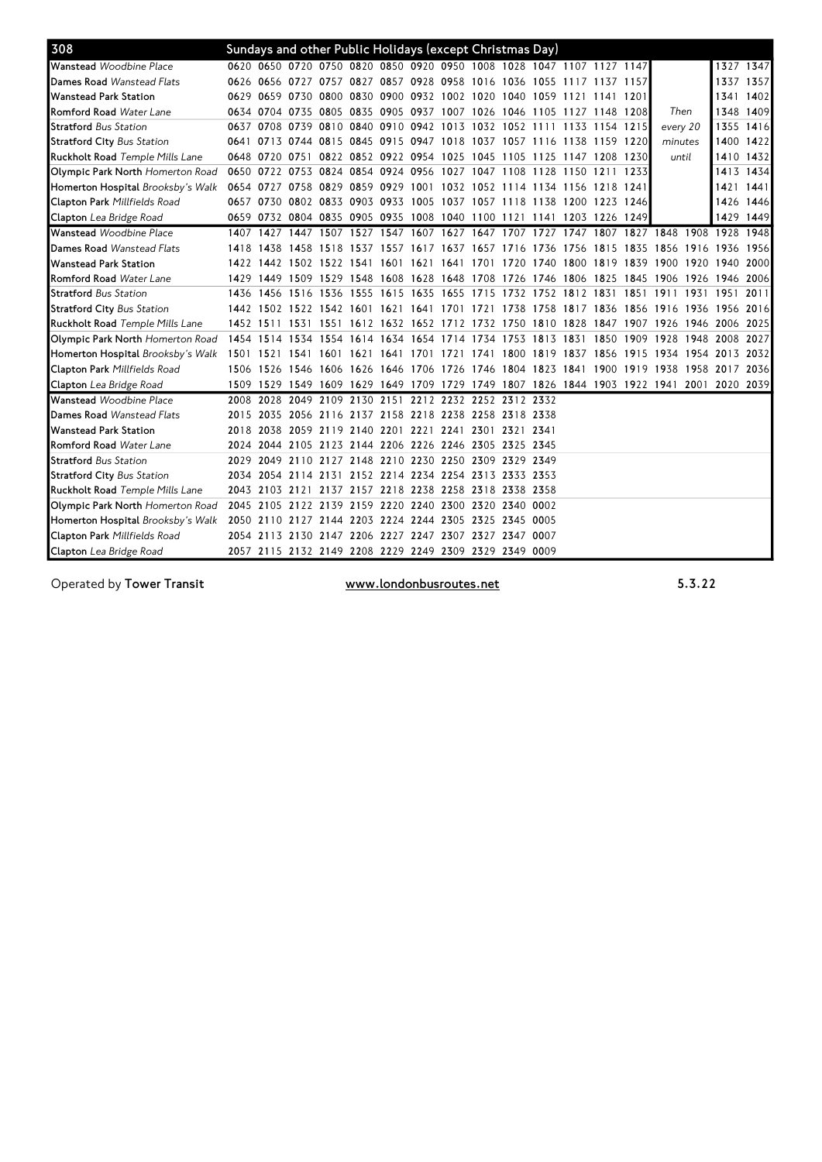| 308                                    |      |           | Sundays and other Public Holidays (except Christmas Day)    |                                              |  |  |  |                                                                                           |           |          |      |           |      |
|----------------------------------------|------|-----------|-------------------------------------------------------------|----------------------------------------------|--|--|--|-------------------------------------------------------------------------------------------|-----------|----------|------|-----------|------|
| Wanstead Woodbine Place                |      |           |                                                             |                                              |  |  |  | 0620 0650 0720 0750 0820 0850 0920 0950 1008 1028 1047 1107 1127 1147                     |           |          |      | 1327 1347 |      |
| <b>Dames Road</b> Wanstead Flats       |      |           |                                                             |                                              |  |  |  | 0626 0656 0727 0757 0827 0857 0928 0958 1016 1036 1055 1117 1137 1157                     |           |          |      | 1337 1357 |      |
| <b>Wanstead Park Station</b>           |      |           | 0629 0659 0730 0800 0830 0900 0932 1002 1020 1040 1059 1121 |                                              |  |  |  | 1141 1201                                                                                 |           |          |      | 1341 1402 |      |
| <b>Romford Road</b> Water Lane         |      |           |                                                             |                                              |  |  |  | 0634 0704 0735 0805 0835 0905 0937 1007 1026 1046 1105 1127 1148 1208                     |           | Then     |      | 1348 1409 |      |
| <b>Stratford</b> Bus Station           |      | 0637 0708 |                                                             |                                              |  |  |  | 0739 0810 0840 0910 0942 1013 1032 1052 1111 1133 1154 1215                               |           | every 20 |      | 1355 1416 |      |
| <b>Stratford City Bus Station</b>      |      |           | 0641 0713 0744 0815 0845 0915 0947 1018 1037 1057 1116 1138 |                                              |  |  |  | 1159 1220                                                                                 |           | minutes  |      | 1400 1422 |      |
| <b>Ruckholt Road</b> Temple Mills Lane |      |           |                                                             |                                              |  |  |  | 0648 0720 0751 0822 0852 0922 0954 1025 1045 1105 1125 1147 1208 1230                     |           | until    |      | 1410 1432 |      |
| Olympic Park North Homerton Road       |      |           |                                                             |                                              |  |  |  | 0650 0722 0753 0824 0854 0924 0956 1027 1047 1108 1128 1150 1211 1233                     |           |          |      | 1413 1434 |      |
| Homerton Hospital Brooksby's Walk      |      |           |                                                             |                                              |  |  |  | 0654 0727 0758 0829 0859 0929 1001 1032 1052 1114 1134 1156 1218 1241                     |           |          |      | 1421 1441 |      |
| Clapton Park Millfields Road           |      |           |                                                             |                                              |  |  |  | 0657 0730 0802 0833 0903 0933 1005 1037 1057 1118 1138 1200 1223 1246                     |           |          |      | 1426 1446 |      |
| Clapton Lea Bridge Road                |      |           |                                                             |                                              |  |  |  | 0659 0732 0804 0835 0905 0935 1008 1040 1100 1121 1141 1203 1226 1249                     |           |          |      | 1429 1449 |      |
| <b>Wanstead</b> Woodbine Place         | 1407 | 1427      | 1447                                                        | 1507 1527 1547                               |  |  |  | 1607 1627 1647 1707 1727 1747 1807 1827 1848 1908                                         |           |          |      | 1928      | 1948 |
| Dames Road Wanstead Flats              |      | 1418 1438 |                                                             |                                              |  |  |  | 1458 1518 1537 1557 1617 1637 1657 1716 1736 1756 1815 1835 1856 1916 1936 1956           |           |          |      |           |      |
| <b>Wanstead Park Station</b>           |      |           |                                                             |                                              |  |  |  | 1422 1442 1502 1522 1541 1601 1621 1641 1701 1720 1740 1800 1819 1839 1900 1920 1940 2000 |           |          |      |           |      |
| <b>Romford Road</b> Water Lane         |      |           |                                                             |                                              |  |  |  | 1429 1449 1509 1529 1548 1608 1628 1648 1708 1726 1746 1806 1825 1845 1906 1926 1946 2006 |           |          |      |           |      |
| <b>Stratford Bus Station</b>           |      | 1436 1456 | 1516 1536 1555 1615 1635 1655 1715 1732 1752 1812 1831      |                                              |  |  |  |                                                                                           | 1851 1911 |          | 1931 | 1951      | 2011 |
| <b>Stratford City Bus Station</b>      |      |           |                                                             |                                              |  |  |  | 1442 1502 1522 1542 1601 1621 1641 1701 1721 1738 1758 1817 1836 1856 1916 1936 1956 2016 |           |          |      |           |      |
| Ruckholt Road Temple Mills Lane        |      |           |                                                             |                                              |  |  |  | 1452 1511 1531 1551 1612 1632 1652 1712 1732 1750 1810 1828 1847 1907 1926 1946 2006 2025 |           |          |      |           |      |
| Olympic Park North Homerton Road       |      |           |                                                             |                                              |  |  |  | 1454 1514 1534 1554 1614 1634 1654 1714 1734 1753 1813 1831 1850 1909 1928 1948 2008 2027 |           |          |      |           |      |
| Homerton Hospital Brooksby's Walk      |      | 1501 1521 |                                                             |                                              |  |  |  | 1541 1601 1621 1641 1701 1721 1741 1800 1819 1837 1856 1915 1934 1954 2013 2032           |           |          |      |           |      |
| Clapton Park Millfields Road           |      |           |                                                             |                                              |  |  |  | 1506 1526 1546 1606 1626 1646 1706 1726 1746 1804 1823 1841 1900 1919 1938 1958 2017 2036 |           |          |      |           |      |
| Clapton Lea Bridge Road                |      |           |                                                             |                                              |  |  |  | 1509 1529 1549 1609 1629 1649 1709 1729 1749 1807 1826 1844 1903 1922 1941 2001 2020 2039 |           |          |      |           |      |
| Wanstead Woodbine Place                | 2008 | 2028      |                                                             | 2049 2109 2130 2151 2212 2232 2252 2312 2332 |  |  |  |                                                                                           |           |          |      |           |      |
| <b>Dames Road</b> Wanstead Flats       |      | 2015 2035 | 2056 2116 2137 2158 2218 2238 2258 2318 2338                |                                              |  |  |  |                                                                                           |           |          |      |           |      |
| Wanstead Park Station                  |      | 2018 2038 | 2059 2119 2140 2201 2221 2241 2301 2321 2341                |                                              |  |  |  |                                                                                           |           |          |      |           |      |
| <b>Romford Road</b> Water Lane         |      | 2024 2044 | 2105 2123 2144 2206 2226 2246 2305 2325 2345                |                                              |  |  |  |                                                                                           |           |          |      |           |      |
| <b>Stratford</b> Bus Station           |      |           | 2029 2049 2110 2127 2148 2210 2230 2250 2309 2329 2349      |                                              |  |  |  |                                                                                           |           |          |      |           |      |
| <b>Stratford City Bus Station</b>      |      |           | 2034 2054 2114 2131 2152 2214 2234 2254 2313 2333 2353      |                                              |  |  |  |                                                                                           |           |          |      |           |      |
| Ruckholt Road Temple Mills Lane        |      |           | 2043 2103 2121 2137 2157 2218 2238 2258 2318 2338 2358      |                                              |  |  |  |                                                                                           |           |          |      |           |      |
| Olympic Park North Homerton Road       |      |           | 2045 2105 2122 2139 2159 2220 2240 2300 2320 2340 0002      |                                              |  |  |  |                                                                                           |           |          |      |           |      |
| Homerton Hospital Brooksby's Walk      |      |           | 2050 2110 2127 2144 2203 2224 2244 2305 2325 2345 0005      |                                              |  |  |  |                                                                                           |           |          |      |           |      |
| Clapton Park Millfields Road           |      |           | 2054 2113 2130 2147 2206 2227 2247 2307 2327 2347 0007      |                                              |  |  |  |                                                                                           |           |          |      |           |      |
| Clapton Lea Bridge Road                |      |           | 2057 2115 2132 2149 2208 2229 2249 2309 2329 2349 0009      |                                              |  |  |  |                                                                                           |           |          |      |           |      |

Operated by Tower Transit www.londonbusroutes.net 5.3.22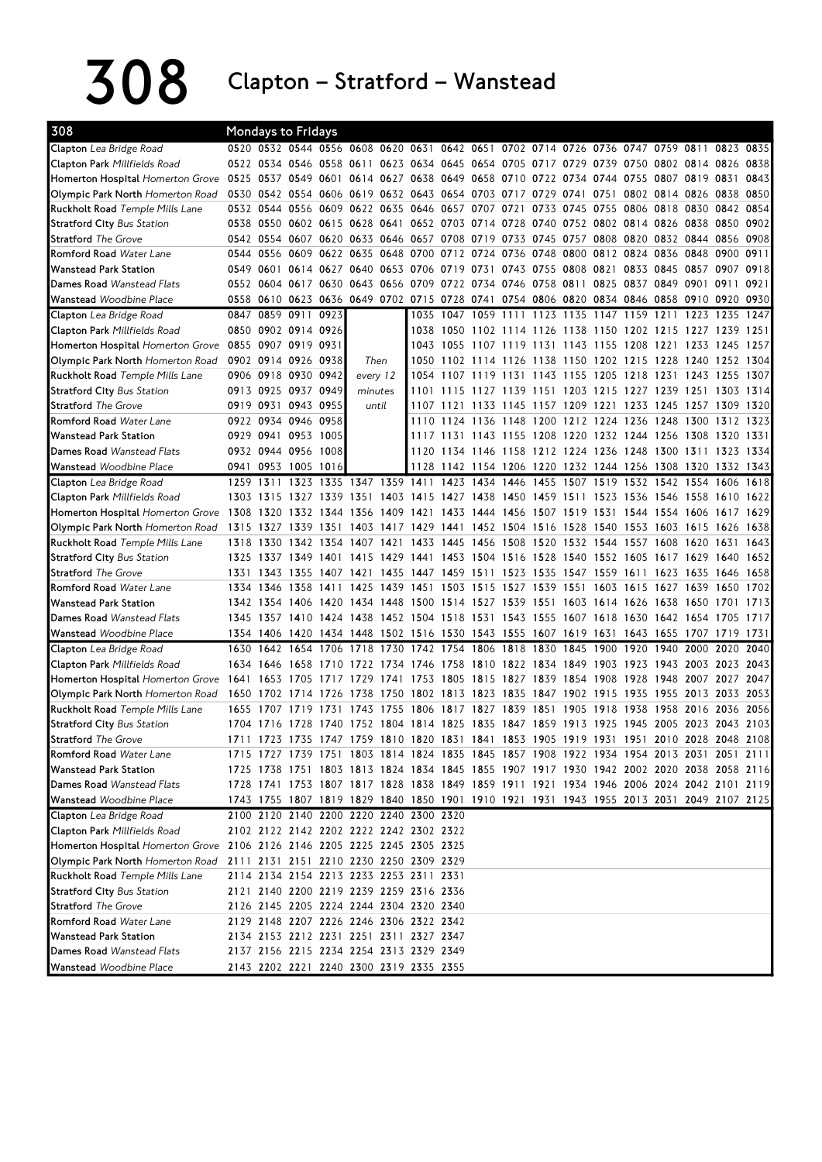308 Clapton – Stratford – Wanstead

| 308                                                                      | Mondays to Fridays |                          |                |      |                          |      |                                                             |      |      |           |      |      |      |                                                                                           |      |                          |      |      |
|--------------------------------------------------------------------------|--------------------|--------------------------|----------------|------|--------------------------|------|-------------------------------------------------------------|------|------|-----------|------|------|------|-------------------------------------------------------------------------------------------|------|--------------------------|------|------|
| Clapton Lea Bridge Road                                                  |                    |                          |                |      |                          |      |                                                             |      |      |           |      |      |      | 0520 0532 0544 0556 0608 0620 0631 0642 0651 0702 0714 0726 0736 0747 0759 0811 0823 0835 |      |                          |      |      |
| Clapton Park Millfields Road                                             |                    |                          |                |      |                          |      | 0522 0534 0546 0558 0611 0623 0634 0645 0654 0705 0717 0729 |      |      |           |      |      |      | 0739 0750 0802 0814 0826 0838                                                             |      |                          |      |      |
| Homerton Hospital Homerton Grove                                         | 0525               |                          |                |      |                          |      | 0537 0549 0601 0614 0627 0638 0649 0658 0710 0722 0734      |      |      |           |      |      |      | 0744 0755 0807 0819 0831                                                                  |      |                          |      | 0843 |
| Olympic Park North Homerton Road                                         |                    |                          |                |      |                          |      | 0530 0542 0554 0606 0619 0632 0643 0654 0703 0717 0729 0741 |      |      |           |      |      | 0751 |                                                                                           |      | 0802 0814 0826 0838      |      | 0850 |
| <b>Ruckholt Road</b> Temple Mills Lane                                   |                    |                          |                |      |                          |      | 0532 0544 0556 0609 0622 0635 0646 0657 0707 0721           |      |      |           |      |      |      | 0733 0745 0755 0806 0818 0830 0842 0854                                                   |      |                          |      |      |
| <b>Stratford City Bus Station</b>                                        |                    |                          |                |      |                          |      |                                                             |      |      |           |      |      |      | 0538 0550 0602 0615 0628 0641 0652 0703 0714 0728 0740 0752 0802 0814 0826 0838 0850      |      |                          |      | 0902 |
| <b>Stratford</b> The Grove                                               |                    |                          |                |      |                          |      |                                                             |      |      |           |      |      |      | 0542 0554 0607 0620 0633 0646 0657 0708 0719 0733 0745 0757 0808 0820 0832 0844 0856      |      |                          |      | 0908 |
| <b>Romford Road</b> Water Lane                                           |                    |                          |                |      |                          |      |                                                             |      |      |           |      |      |      | 0544 0556 0609 0622 0635 0648 0700 0712 0724 0736 0748 0800 0812 0824 0836 0848 0900      |      |                          |      | 0911 |
| <b>Wanstead Park Station</b>                                             | 0549 0601          |                          |                |      |                          |      | 0614 0627 0640 0653 0706 0719 0731 0743 0755 0808           |      |      |           |      |      | 0821 | 0833 0845 0857 0907                                                                       |      |                          |      | 0918 |
| Dames Road Wanstead Flats                                                |                    |                          |                |      |                          |      | 0552 0604 0617 0630 0643 0656 0709 0722 0734 0746 0758 0811 |      |      |           |      |      |      | 0825 0837 0849 0901 0911                                                                  |      |                          |      | 0921 |
| Wanstead Woodbine Place                                                  |                    |                          |                |      |                          |      |                                                             |      |      |           |      |      |      | 0558 0610 0623 0636 0649 0702 0715 0728 0741 0754 0806 0820 0834 0846 0858 0910 0920 0930 |      |                          |      |      |
| Clapton Lea Bridge Road                                                  |                    | 0847 0859 0911 0923      |                |      |                          |      |                                                             |      |      |           |      |      |      | 1035 1047 1059 1111 1123 1135 1147 1159 1211 1223 1235                                    |      |                          |      | 1247 |
| Clapton Park Millfields Road                                             |                    | 0850 0902 0914 0926      |                |      |                          |      | 1038                                                        |      |      |           |      |      |      | 1050 1102 1114 1126 1138 1150 1202 1215 1227 1239 1251                                    |      |                          |      |      |
| Homerton Hospital Homerton Grove 0855 0907 0919 0931                     |                    |                          |                |      |                          |      |                                                             |      |      |           |      |      |      | 1043 1055 1107 1119 1131 1143 1155 1208 1221                                              |      | 1233                     | 1245 | 1257 |
| Olympic Park North Homerton Road                                         |                    | 0902 0914 0926 0938      |                |      | Then                     |      |                                                             |      |      |           |      |      |      | 1050 1102 1114 1126 1138 1150 1202 1215 1228 1240 1252                                    |      |                          |      | 1304 |
| <b>Ruckholt Road</b> Temple Mills Lane                                   |                    | 0906 0918 0930 0942      |                |      | every 12                 |      | 1054                                                        |      |      |           |      |      |      | 1107 1119 1131 1143 1155 1205 1218 1231 1243 1255                                         |      |                          |      | 1307 |
| <b>Stratford City Bus Station</b>                                        |                    | 0913 0925 0937 0949      |                |      | minutes                  |      |                                                             |      |      |           |      |      |      | 1101 1115 1127 1139 1151 1203 1215 1227 1239 1251 1303 1314                               |      |                          |      |      |
| <b>Stratford</b> The Grove                                               |                    | 0919 0931 0943 0955      |                |      | until                    |      |                                                             |      |      |           |      |      |      | 1107 1121 1133 1145 1157 1209 1221 1233 1245 1257 1309 1320                               |      |                          |      |      |
| Romford Road Water Lane                                                  |                    | 0922 0934 0946 0958      |                |      |                          |      |                                                             |      |      |           |      |      |      | 1110 1124 1136 1148 1200 1212 1224 1236 1248 1300 1312                                    |      |                          |      | 1323 |
| <b>Wanstead Park Station</b>                                             | 0929 0941          |                          | 0953 1005      |      |                          |      |                                                             |      |      |           |      |      |      | 1117 1131 1143 1155 1208 1220 1232 1244 1256 1308 1320                                    |      |                          |      | 1331 |
| Dames Road Wanstead Flats                                                |                    | 0932 0944 0956 1008      |                |      |                          |      |                                                             |      |      |           |      |      |      | 1120 1134 1146 1158 1212 1224 1236 1248 1300 1311 1323 1334                               |      |                          |      |      |
| <b>Wanstead</b> Woodbine Place                                           | 0941               |                          | 0953 1005 1016 |      |                          |      |                                                             |      |      |           |      |      |      | 1128 1142 1154 1206 1220 1232 1244 1256 1308 1320                                         |      |                          | 1332 | 1343 |
| Clapton Lea Bridge Road                                                  | 1259 1311          |                          |                |      | 1323 1335 1347 1359 1411 |      |                                                             | 1423 | 1434 | 1446 1455 |      |      |      | 1507 1519 1532 1542 1554 1606                                                             |      |                          |      | 1618 |
| Clapton Park Millfields Road                                             |                    |                          |                |      |                          |      |                                                             |      |      |           |      |      |      | 1303 1315 1327 1339 1351 1403 1415 1427 1438 1450 1459 1511 1523 1536 1546 1558 1610 1622 |      |                          |      |      |
| <b>Homerton Hospital Homerton Grove</b>                                  | 1308               | 1320                     | 1332 1344      |      | 1356                     |      | 1409 1421 1433 1444 1456 1507 1519                          |      |      |           |      |      | 1531 |                                                                                           |      | 1544 1554 1606 1617 1629 |      |      |
| Olympic Park North Homerton Road                                         | 1315               | 1327                     | 1339 1351      |      |                          |      | 1403 1417 1429 1441 1452 1504 1516 1528                     |      |      |           |      |      |      | 1540 1553 1603 1615 1626 1638                                                             |      |                          |      |      |
| Ruckholt Road Temple Mills Lane                                          | 1318 1330          |                          |                |      | 1342 1354 1407 1421 1433 |      |                                                             | 1445 | 1456 |           |      |      |      | 1508 1520 1532 1544 1557 1608                                                             |      | 1620                     | 1631 | 1643 |
| <b>Stratford City Bus Station</b>                                        |                    |                          |                |      |                          |      |                                                             |      |      |           |      |      |      | 1325 1337 1349 1401 1415 1429 1441 1453 1504 1516 1528 1540 1552 1605 1617 1629 1640      |      |                          |      | 1652 |
| <b>Stratford</b> The Grove                                               |                    | 1331 1343 1355 1407 1421 |                |      |                          |      |                                                             |      |      |           |      |      |      | 1435 1447 1459 1511 1523 1535 1547 1559 1611 1623 1635 1646                               |      |                          |      | 1658 |
| Romford Road Water Lane                                                  |                    |                          |                |      |                          |      |                                                             |      |      |           |      |      |      | 1334 1346 1358 1411 1425 1439 1451 1503 1515 1527 1539 1551 1603 1615 1627 1639 1650 1702 |      |                          |      |      |
| <b>Wanstead Park Station</b>                                             |                    | 1342 1354 1406 1420      |                |      |                          |      | 1434 1448 1500 1514 1527 1539 1551                          |      |      |           |      | 1603 |      | 1614 1626 1638 1650                                                                       |      |                          | 1701 | 1713 |
| Dames Road Wanstead Flats                                                |                    |                          |                |      |                          |      |                                                             |      |      |           |      |      |      | 1345 1357 1410 1424 1438 1452 1504 1518 1531 1543 1555 1607 1618 1630 1642 1654 1705      |      |                          |      | 1717 |
| <b>Wanstead</b> Woodbine Place                                           |                    |                          |                |      |                          |      |                                                             |      |      |           |      |      |      | 1354 1406 1420 1434 1448 1502 1516 1530 1543 1555 1607 1619 1631 1643 1655 1707 1719 1731 |      |                          |      |      |
| Clapton Lea Bridge Road                                                  | 1630               | 1642                     | 1654 1706      |      | 1718                     | 1730 | 1742 1754 1806                                              |      |      | 1818 1830 |      | 1845 | 1900 | 1920                                                                                      | 1940 | 2000                     | 2020 | 2040 |
| Clapton Park Millfields Road                                             |                    | 1634 1646 1658 1710      |                |      |                          |      |                                                             |      |      |           |      |      |      | 1722 1734 1746 1758 1810 1822 1834 1849 1903 1923 1943 2003 2023 2043                     |      |                          |      |      |
| <b>Homerton Hospital Homerton Grove</b>                                  |                    | 1641 1653 1705 1717      |                |      | -1729                    |      |                                                             |      |      |           |      |      |      | 1741 1753 1805 1815 1827 1839 1854 1908 1928 1948 2007 2027 2047                          |      |                          |      |      |
| Olympic Park North Homerton Road                                         | 1650 1702          |                          | 1714           | 1726 | 1738                     |      | 1750 1802 1813 1823 1835 1847 1902                          |      |      |           |      |      | 1915 | 1935 1955 2013 2033                                                                       |      |                          |      | 2053 |
| <b>Ruckholt Road</b> Temple Mills Lane                                   | 1655               | 1707                     | 1719           | 1731 | 1743                     | 1755 | 1806 1817 1827                                              |      |      | 1839      | 1851 | 1905 | 1918 | 1938                                                                                      | 1958 | 2016                     | 2036 | 2056 |
| <b>Stratford City Bus Station</b>                                        |                    |                          |                |      |                          |      |                                                             |      |      |           |      |      |      | 1704 1716 1728 1740 1752 1804 1814 1825 1835 1847 1859 1913 1925 1945 2005 2023 2043 2103 |      |                          |      |      |
| <b>Stratford</b> The Grove                                               |                    |                          |                |      |                          |      |                                                             |      |      |           |      |      |      | 1711 1723 1735 1747 1759 1810 1820 1831 1841 1853 1905 1919 1931 1951 2010 2028 2048 2108 |      |                          |      |      |
| Romford Road Water Lane                                                  |                    |                          |                |      |                          |      |                                                             |      |      |           |      |      |      | 1715 1727 1739 1751 1803 1814 1824 1835 1845 1857 1908 1922 1934 1954 2013 2031 2051 2111 |      |                          |      |      |
| <b>Wanstead Park Station</b>                                             |                    |                          |                |      |                          |      |                                                             |      |      |           |      |      |      | 1725 1738 1751 1803 1813 1824 1834 1845 1855 1907 1917 1930 1942 2002 2020 2038 2058 2116 |      |                          |      |      |
| Dames Road Wanstead Flats                                                |                    |                          |                |      |                          |      |                                                             |      |      |           |      |      |      | 1728 1741 1753 1807 1817 1828 1838 1849 1859 1911 1921 1934 1946 2006 2024 2042 2101 2119 |      |                          |      |      |
| Wanstead Woodbine Place                                                  |                    |                          |                |      |                          |      |                                                             |      |      |           |      |      |      | 1743 1755 1807 1819 1829 1840 1850 1901 1910 1921 1931 1943 1955 2013 2031 2049 2107 2125 |      |                          |      |      |
| Clapton Lea Bridge Road                                                  |                    |                          |                |      |                          |      | 2100 2120 2140 2200 2220 2240 2300 2320                     |      |      |           |      |      |      |                                                                                           |      |                          |      |      |
| Clapton Park Millfields Road                                             |                    |                          |                |      |                          |      | 2102 2122 2142 2202 2222 2242 2302 2322                     |      |      |           |      |      |      |                                                                                           |      |                          |      |      |
| Homerton Hospital Homerton Grove 2106 2126 2146 2205 2225 2245 2305 2325 |                    |                          |                |      |                          |      |                                                             |      |      |           |      |      |      |                                                                                           |      |                          |      |      |
| Olympic Park North Homerton Road                                         |                    |                          |                |      |                          |      | 2111 2131 2151 2210 2230 2250 2309 2329                     |      |      |           |      |      |      |                                                                                           |      |                          |      |      |
| Ruckholt Road Temple Mills Lane                                          |                    |                          |                |      |                          |      | 2114 2134 2154 2213 2233 2253 2311 2331                     |      |      |           |      |      |      |                                                                                           |      |                          |      |      |
| <b>Stratford City Bus Station</b>                                        |                    |                          |                |      |                          |      | 2121 2140 2200 2219 2239 2259 2316 2336                     |      |      |           |      |      |      |                                                                                           |      |                          |      |      |
| <b>Stratford</b> The Grove                                               |                    |                          |                |      |                          |      | 2126 2145 2205 2224 2244 2304 2320 2340                     |      |      |           |      |      |      |                                                                                           |      |                          |      |      |
| Romford Road Water Lane                                                  |                    |                          |                |      |                          |      | 2129 2148 2207 2226 2246 2306 2322 2342                     |      |      |           |      |      |      |                                                                                           |      |                          |      |      |
| <b>Wanstead Park Station</b>                                             |                    |                          |                |      |                          |      | 2134 2153 2212 2231 2251 2311 2327 2347                     |      |      |           |      |      |      |                                                                                           |      |                          |      |      |
| Dames Road Wanstead Flats                                                |                    |                          |                |      |                          |      | 2137 2156 2215 2234 2254 2313 2329 2349                     |      |      |           |      |      |      |                                                                                           |      |                          |      |      |
| <b>Wanstead</b> Woodbine Place                                           |                    |                          |                |      |                          |      | 2143 2202 2221 2240 2300 2319 2335 2355                     |      |      |           |      |      |      |                                                                                           |      |                          |      |      |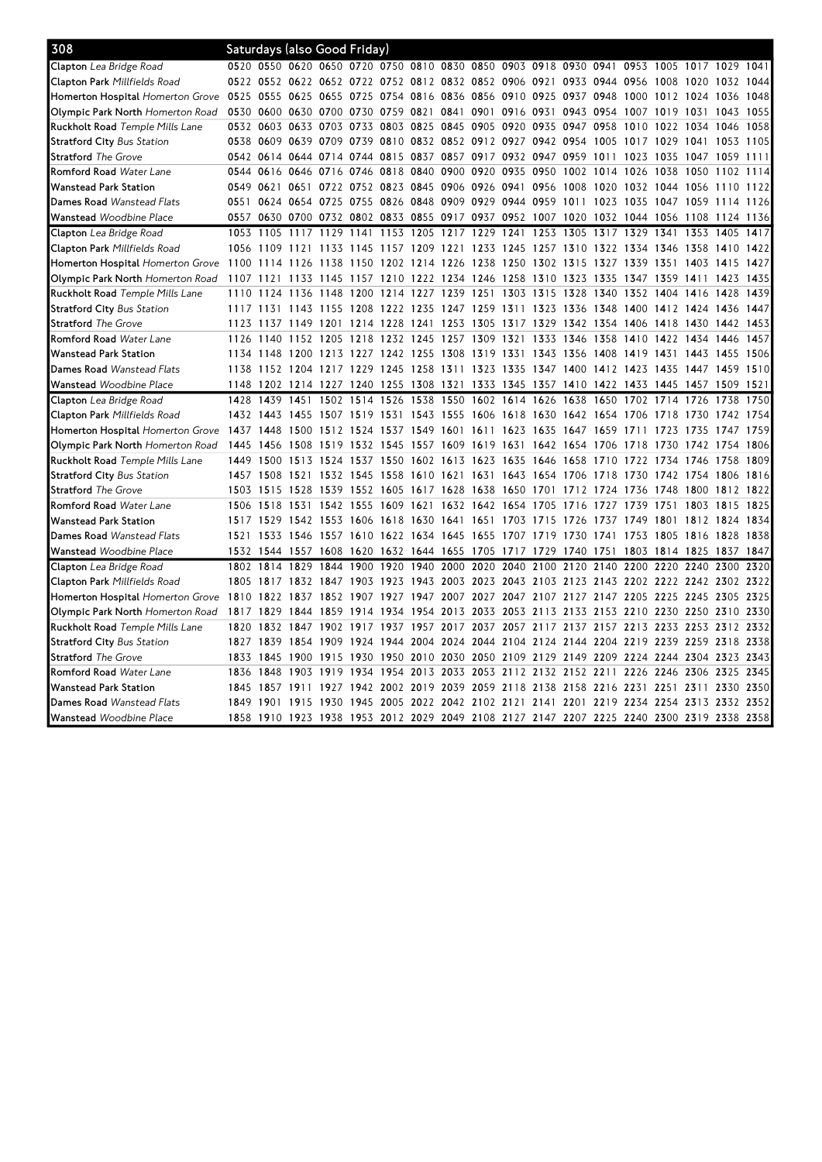| 308                                     |                               |                | Saturdays (also Good Friday)                                     |                |           |           |                                                   |           |                               |                     |                |           |                                                                                           |                          |           |                     |           |      |
|-----------------------------------------|-------------------------------|----------------|------------------------------------------------------------------|----------------|-----------|-----------|---------------------------------------------------|-----------|-------------------------------|---------------------|----------------|-----------|-------------------------------------------------------------------------------------------|--------------------------|-----------|---------------------|-----------|------|
| Clapton Lea Bridge Road                 |                               |                | 0520 0550 0620 0650 0720 0750 0810 0830 0850 0903 0918 0930 0941 |                |           |           |                                                   |           |                               |                     |                |           |                                                                                           | 0953                     |           | 1005 1017 1029 1041 |           |      |
| Clapton Park Millfields Road            |                               |                | 0522 0552 0622 0652 0722 0752 0812 0832 0852 0906 0921           |                |           |           |                                                   |           |                               |                     |                |           | 0933 0944 0956                                                                            |                          | 1008 1020 |                     | 1032      | 1044 |
| <b>Homerton Hospital</b> Homerton Grove | 0525 0555 0625 0655 0725 0754 |                |                                                                  |                |           |           | 0816 0836 0856 0910 0925 0937 0948                |           |                               |                     |                |           |                                                                                           | 1000 1012 1024 1036      |           |                     |           | 1048 |
| Olympic Park North Homerton Road        |                               |                | 0530 0600 0630 0700 0730 0759                                    |                |           |           | 0821 0841 0901 0916 0931                          |           |                               |                     |                | 0943 0954 |                                                                                           | 1007                     | 1019 1031 |                     | 1043      | 1055 |
| <b>Ruckholt Road</b> Temple Mills Lane  |                               |                | 0532 0603 0633 0703 0733 0803 0825 0845 0905 0920 0935           |                |           |           |                                                   |           |                               |                     |                | 0947      | 0958                                                                                      | 1010                     | 1022 1034 |                     | 1046      | 1058 |
| <b>Stratford City Bus Station</b>       |                               |                | 0538 0609 0639 0709 0739 0810 0832 0852 0912 0927 0942 0954      |                |           |           |                                                   |           |                               |                     |                |           | 1005                                                                                      | 1017 1029 1041 1053      |           |                     |           | 1105 |
| <b>Stratford</b> The Grove              |                               | 0542 0614      | 0644 0714                                                        |                | 0744      | 0815      | 0837 0857 0917                                    |           |                               | 0932                | 0947 0959      |           | 1011                                                                                      | 1023                     | 1035      | 1047                | 1059      | 1111 |
| Romford Road Water Lane                 |                               |                | 0544 0616 0646 0716 0746 0818                                    |                |           |           |                                                   |           |                               |                     |                |           | 0840 0900 0920 0935 0950 1002 1014 1026 1038 1050                                         |                          |           |                     | 1102      | 1114 |
| <b>Wanstead Park Station</b>            |                               |                | 0549 0621 0651 0722 0752 0823 0845 0906 0926 0941 0956           |                |           |           |                                                   |           |                               |                     |                | 1008      | 1020                                                                                      | 1032 1044 1056           |           |                     | 1110      | 1122 |
| Dames Road Wanstead Flats               | 0551                          |                | 0624 0654 0725 0755 0826                                         |                |           |           | 0848 0909 0929 0944 0959                          |           |                               |                     |                |           | 1011 1023 1035                                                                            |                          | 1047 1059 |                     | 1114      | 1126 |
| Wanstead Woodbine Place                 | 0557                          |                |                                                                  |                |           |           |                                                   |           |                               |                     |                |           | 0630 0700 0732 0802 0833 0855 0917 0937 0952 1007 1020 1032 1044 1056 1108                |                          |           |                     | 1124 1136 |      |
| Clapton Lea Bridge Road                 | 1053                          | 1105           | 1117                                                             | 1129           | 1141      | 1153 1205 |                                                   | 1217 1229 |                               | 1241                | 1253           | 1305      | 1317                                                                                      | 1329                     | 1341      | 1353                | 1405      | 1417 |
| Clapton Park Millfields Road            |                               | 1056 1109      | 1121                                                             | 1133           | 1145      |           | 1157 1209 1221 1233                               |           |                               | 1245 1257 1310      |                |           | 1322                                                                                      | 1334 1346 1358           |           |                     | 1410      | 1422 |
| Homerton Hospital Homerton Grove        |                               | 1100 1114      | 1126                                                             | 1138           |           |           | 1150 1202 1214 1226 1238                          |           |                               | 1250 1302 1315      |                |           | 1327 1339 1351 1403                                                                       |                          |           |                     | 1415      | 1427 |
| Olympic Park North Homerton Road        | 1107                          | 1121           | 1133                                                             | 1145           |           |           | 1157 1210 1222 1234 1246                          |           |                               | 1258 1310 1323      |                |           | 1335                                                                                      | 1347                     | 1359 1411 |                     | 1423      | 1435 |
| <b>Ruckholt Road</b> Temple Mills Lane  | 1110                          | 1124           | 1136                                                             | 1148           | 1200      | 1214      | 1227                                              | 1239 1251 |                               |                     | 1303 1315 1328 |           | 1340 1352                                                                                 |                          | 1404 1416 |                     | 1428      | 1439 |
| <b>Stratford City Bus Station</b>       |                               |                |                                                                  |                |           |           |                                                   |           |                               |                     |                |           | 1117 1131 1143 1155 1208 1222 1235 1247 1259 1311 1323 1336 1348 1400                     |                          |           | 1412 1424 1436      |           | 1447 |
| <b>Stratford</b> The Grove              | 1123                          | 1137           | 1149                                                             | 1201           | 1214 1228 |           | 1241                                              | 1253 1305 |                               | 1317                | 1329           | 1342      | 1354                                                                                      | 1406                     | 1418 1430 |                     | 1442      | 1453 |
| Romford Road Water Lane                 |                               | 1126 1140      |                                                                  |                |           |           |                                                   |           |                               |                     |                |           | 1152 1205 1218 1232 1245 1257 1309 1321 1333 1346 1358 1410 1422 1434 1446                |                          |           |                     |           | 1457 |
| <b>Wanstead Park Station</b>            |                               | 1134 1148      | 1200 1213 1227 1242 1255                                         |                |           |           |                                                   | 1308 1319 |                               | 1331 1343 1356      |                |           | 1408                                                                                      | 1419                     | 1431 1443 |                     | 1455      | 1506 |
| Dames Road Wanstead Flats               |                               |                | 1138 1152 1204 1217 1229 1245                                    |                |           |           |                                                   |           |                               |                     |                |           | 1258 1311 1323 1335 1347 1400 1412 1423                                                   |                          |           | 1435 1447 1459      |           | 1510 |
| Wanstead Woodbine Place                 |                               |                |                                                                  |                |           |           |                                                   |           |                               |                     |                |           | 1148 1202 1214 1227 1240 1255 1308 1321 1333 1345 1357 1410 1422 1433 1445 1457 1509 1521 |                          |           |                     |           |      |
| Clapton Lea Bridge Road                 | 1428                          | 1439           | 1451                                                             | 1502           | 1514      | 1526      | 1538                                              |           | 1550 1602                     | 1614                | 1626           | 1638      | 1650                                                                                      | 1702                     | 1714 1726 |                     | 1738      | 1750 |
| Clapton Park Millfields Road            |                               | 1432 1443      | 1455                                                             |                |           |           |                                                   |           |                               |                     |                |           | 1507 1519 1531 1543 1555 1606 1618 1630 1642 1654 1706                                    |                          | 1718 1730 |                     | 1742      | 1754 |
| <b>Homerton Hospital</b> Homerton Grove | 1437 1448                     |                | 1500 1512 1524 1537 1549 1601 1611 1623 1635 1647 1659           |                |           |           |                                                   |           |                               |                     |                |           |                                                                                           | 1711                     | 1723 1735 |                     | 1747 1759 |      |
| Olympic Park North Homerton Road        |                               | 1445 1456      | 1508 1519                                                        |                | 1532 1545 |           | 1557                                              |           |                               |                     |                |           | 1609 1619 1631 1642 1654 1706 1718 1730 1742 1754                                         |                          |           |                     |           | 1806 |
| Ruckholt Road Temple Mills Lane         | 1449                          | 1500           |                                                                  | 1513 1524 1537 |           | 1550      | 1602                                              | 1613 1623 |                               | 1635                | 1646 1658      |           | 1710                                                                                      | 1722                     | 1734 1746 |                     | 1758      | 1809 |
| <b>Stratford City Bus Station</b>       |                               | 1457 1508      |                                                                  |                |           |           |                                                   |           |                               |                     |                |           | 1521 1532 1545 1558 1610 1621 1631 1643 1654 1706 1718 1730 1742 1754 1806                |                          |           |                     |           | 1816 |
| <b>Stratford</b> The Grove              |                               | 1503 1515      | 1528                                                             | 1539           | 1552 1605 |           | 1617                                              | 1628 1638 |                               | 1650 1701           |                | 1712      | 1724                                                                                      | 1736                     | 1748 1800 |                     | 1812      | 1822 |
| Romford Road Water Lane                 |                               | 1506 1518 1531 |                                                                  | 1542 1555 1609 |           |           | 1621                                              |           | 1632 1642 1654 1705 1716      |                     |                |           | 1727 1739                                                                                 |                          |           | 1751 1803 1815      |           | 1825 |
| <b>Wanstead Park Station</b>            |                               |                | 1517 1529 1542 1553 1606 1618 1630                               |                |           |           |                                                   |           | 1641 1651 1703 1715 1726      |                     |                |           | 1737 1749                                                                                 |                          |           | 1801 1812 1824      |           | 1834 |
| Dames Road Wanstead Flats               | 1521                          | 1533           | 1546                                                             |                |           |           | 1557 1610 1622 1634 1645 1655 1707 1719 1730 1741 |           |                               |                     |                |           |                                                                                           | 1753 1805 1816           |           |                     | 1828      | 1838 |
| Wanstead Woodbine Place                 |                               |                | 1532 1544 1557 1608 1620 1632 1644 1655 1705 1717 1729 1740 1751 |                |           |           |                                                   |           |                               |                     |                |           |                                                                                           | 1803 1814 1825 1837 1847 |           |                     |           |      |
| Clapton Lea Bridge Road                 | 1802                          | 1814           | 1829                                                             | 1844           | 1900      | 1920      | 1940                                              | 2000      | 2020                          | 2040                | 2100           | 2120      | 2140                                                                                      | 2200                     |           | 2220 2240 2300      |           | 2320 |
| Clapton Park Millfields Road            |                               | 1805 1817      | 1832                                                             | 1847 1903      |           | 1923      | 1943                                              | 2003 2023 |                               | 2043 2103 2123      |                |           | 2143 2202 2222 2242 2302                                                                  |                          |           |                     |           | 2322 |
| Homerton Hospital Homerton Grove        | 1810 1822                     |                |                                                                  |                |           |           |                                                   |           |                               |                     |                |           | 1837 1852 1907 1927 1947 2007 2027 2047 2107 2127 2147 2205 2225 2245 2305 2325           |                          |           |                     |           |      |
| Olympic Park North Homerton Road        |                               | 1817 1829      | 1844                                                             | 1859           | 1914      | 1934      | 1954                                              | 2013 2033 |                               |                     |                |           | 2053 2113 2133 2153 2210 2230 2250 2310 2330                                              |                          |           |                     |           |      |
| Ruckholt Road Temple Mills Lane         | 1820                          | 1832           | 1847                                                             | 1902           | 1917      | 1937      | 1957                                              | 2017 2037 |                               |                     |                |           | 2057 2117 2137 2157 2213 2233 2253 2312                                                   |                          |           |                     |           | 2332 |
| <b>Stratford City Bus Station</b>       |                               | 1827 1839      | 1854 1909 1924 1944                                              |                |           |           | 2004 2024 2044                                    |           |                               |                     |                |           | 2104 2124 2144 2204 2219 2239 2259 2318 2338                                              |                          |           |                     |           |      |
| <b>Stratford The Grove</b>              | 1833                          | 1845           | 1900                                                             | 1915           | 1930      | 1950      | 2010                                              | 2030 2050 |                               | 2109 2129 2149 2209 |                |           |                                                                                           | 2224 2244 2304           |           |                     | 2323      | 2343 |
| Romford Road Water Lane                 | 1836                          | 1848           | 1903 1919                                                        |                | 1934      |           | 1954 2013 2033 2053 2112 2132 2152 2211           |           |                               |                     |                |           |                                                                                           | 2226                     |           | 2246 2306 2325      |           | 2345 |
| Wanstead Park Station                   |                               | 1845 1857      | 1911                                                             | 1927 1942 2002 |           |           | 2019                                              |           | 2039 2059 2118 2138 2158 2216 |                     |                |           |                                                                                           | 2231                     |           | 2251 2311 2330      |           | 2350 |
| Dames Road Wanstead Flats               | 1849                          | 1901           | 1915                                                             | 1930           | 1945      | 2005      | 2022                                              |           | 2042 2102 2121 2141 2201      |                     |                |           | 2219                                                                                      | 2234 2254 2313           |           |                     | 2332      | 2352 |
| Wanstead Woodbine Place                 |                               |                |                                                                  |                |           |           |                                                   |           |                               |                     |                |           | 1858 1910 1923 1938 1953 2012 2029 2049 2108 2127 2147 2207 2225 2240 2300 2319 2338 2358 |                          |           |                     |           |      |